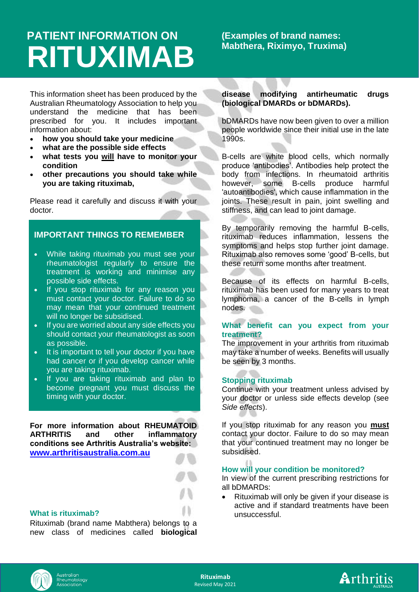# **PATIENT INFORMATION ON RITUXIMAB**

# **(Examples of brand names: Mabthera, Riximyo, Truxima)**

This information sheet has been produced by the Australian Rheumatology Association to help you understand the medicine that has been prescribed for you. It includes important information about:

- **how you should take your medicine**
- **what are the possible side effects**
- **what tests you will have to monitor your condition**
- **other precautions you should take while you are taking rituximab,**

Please read it carefully and discuss it with your doctor.

# **IMPORTANT THINGS TO REMEMBER**

- While taking rituximab you must see your rheumatologist regularly to ensure the treatment is working and minimise any possible side effects.
- If you stop rituximab for any reason you must contact your doctor. Failure to do so may mean that your continued treatment will no longer be subsidised.
- If you are worried about any side effects you should contact your rheumatologist as soon as possible.
- It is important to tell your doctor if you have had cancer or if you develop cancer while you are taking rituximab.
- If you are taking rituximab and plan to become pregnant you must discuss the timing with your doctor.

**For more information about RHEUMATOID ARTHRITIS and other inflammatory conditions see Arthritis Australia's website: [www.arthritisaustralia.com.au](http://www.arthritisaustralia.com.au/)**

# **What is rituximab?**

Rituximab (brand name Mabthera) belongs to a new class of medicines called **biological** 

# **disease modifying antirheumatic drugs (biological DMARDs or bDMARDs).**

bDMARDs have now been given to over a million people worldwide since their initial use in the late 1990s.

B-cells are white blood cells, which normally produce 'antibodies'. Antibodies help protect the body from infections. In rheumatoid arthritis however, some B-cells produce harmful 'autoantibodies', which cause inflammation in the joints. These result in pain, joint swelling and stiffness, and can lead to joint damage.

By temporarily removing the harmful B-cells, rituximab reduces inflammation, lessens the symptoms and helps stop further joint damage. Rituximab also removes some 'good' B-cells, but these return some months after treatment.

Because of its effects on harmful B-cells, rituximab has been used for many years to treat lymphoma, a cancer of the B-cells in lymph nodes.

# **What benefit can you expect from your treatment?**

The improvement in your arthritis from rituximab may take a number of weeks. Benefits will usually be seen by 3 months.

#### **Stopping rituximab**

Continue with your treatment unless advised by your doctor or unless side effects develop (see *Side effects*).

If you stop rituximab for any reason you **must** contact your doctor. Failure to do so may mean that your continued treatment may no longer be subsidised.

# **How will your condition be monitored?**

In view of the current prescribing restrictions for all bDMARDs:

• Rituximab will only be given if your disease is active and if standard treatments have been unsuccessful.



**Rituximab** Revised May 2021

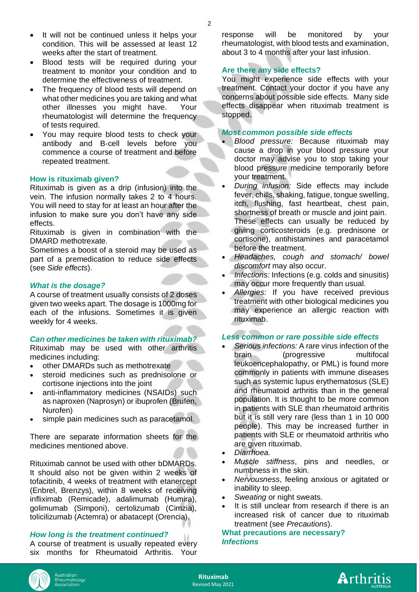- It will not be continued unless it helps your condition. This will be assessed at least 12 weeks after the start of treatment.
- Blood tests will be required during your treatment to monitor your condition and to determine the effectiveness of treatment.
- The frequency of blood tests will depend on what other medicines you are taking and what other illnesses you might have. Your rheumatologist will determine the frequency of tests required.
- You may require blood tests to check your antibody and B-cell levels before you commence a course of treatment and before repeated treatment.

#### **How is rituximab given?**

Rituximab is given as a drip (infusion) into the vein. The infusion normally takes 2 to 4 hours. You will need to stay for at least an hour after the infusion to make sure you don't have any side effects.

Rituximab is given in combination with the DMARD methotrexate.

Sometimes a boost of a steroid may be used as part of a premedication to reduce side effects (see *Side effects*).

#### *What is the dosage?*

A course of treatment usually consists of 2 doses given two weeks apart. The dosage is 1000mg for each of the infusions. Sometimes it is given weekly for 4 weeks.

#### *Can other medicines be taken with rituximab?*

Rituximab may be used with other arthritis medicines including:

- other DMARDs such as methotrexate
- steroid medicines such as prednisolone or cortisone injections into the joint
- anti-inflammatory medicines (NSAIDs) such as naproxen (Naprosyn) or ibuprofen (Brufen, Nurofen)
- simple pain medicines such as paracetamol.

There are separate information sheets for the medicines mentioned above.

Rituximab cannot be used with other bDMARDs. It should also not be given within 2 weeks of tofacitinib, 4 weeks of treatment with etanercept (Enbrel, Brenzys), within 8 weeks of receiving infliximab (Remicade), adalimumab (Humira), golimumab (Simponi), certolizumab (Cimzia), tolicilizumab (Actemra) or abatacept (Orencia).

### *How long is the treatment continued?*

A course of treatment is usually repeated every six months for Rheumatoid Arthritis. Your response will be monitored by your rheumatologist, with blood tests and examination, about 3 to 4 months after your last infusion.

#### **Are there any side effects?**

You might experience side effects with your treatment. Contact your doctor if you have any concerns about possible side effects. Many side effects disappear when rituximab treatment is stopped.

#### *Most common possible side effects*

- *Blood pressure:* Because rituximab may cause a drop in your blood pressure your doctor may advise you to stop taking your blood pressure medicine temporarily before your treatment.
- *During infusion:* Side effects may include fever, chills, shaking, fatigue, tongue swelling, itch, flushing, fast heartbeat, chest pain, shortness of breath or muscle and joint pain. These effects can usually be reduced by giving corticosteroids (e.g. prednisone or cortisone), antihistamines and paracetamol before the treatment.
- *Headaches, cough and stomach/ bowel discomfort* may also occur.
- *Infections:* Infections (e.g. colds and sinusitis) may occur more frequently than usual.
- *Allergies:* If you have received previous treatment with other biological medicines you may experience an allergic reaction with rituximab.

#### *Less common or rare possible side effects*

- *Serious infections:* A rare virus infection of the brain (progressive multifocal leukoencephalopathy, or PML) is found more commonly in patients with immune diseases such as systemic lupus erythematosus (SLE) and rheumatoid arthritis than in the general population. It is thought to be more common in patients with SLE than rheumatoid arthritis but it is still very rare (less than 1 in 10 000 people). This may be increased further in patients with SLE or rheumatoid arthritis who are given rituximab.
- *Diarrhoea.*
- *Muscle stiffness*, pins and needles, or numbness in the skin.
- *Nervousness*, feeling anxious or agitated or inability to sleep.
- Sweating or night sweats.
- It is still unclear from research if there is an increased risk of cancer due to rituximab treatment (see *Precautions*).

**What precautions are necessary?** *Infections* 



**Rituximab** Revised May 2021

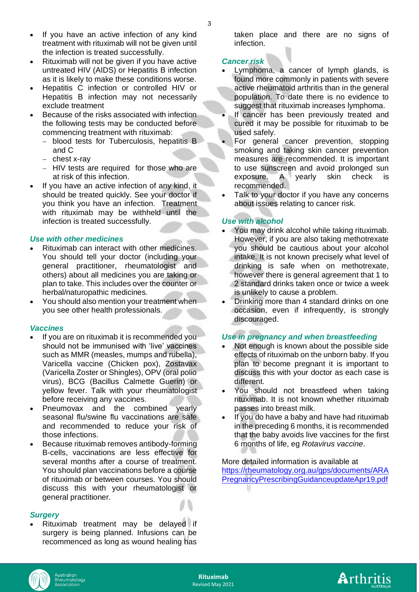- If you have an active infection of any kind treatment with rituximab will not be given until the infection is treated successfully.
- Rituximab will not be given if you have active untreated HIV (AIDS) or Hepatitis B infection as it is likely to make these conditions worse.
- Hepatitis C infection or controlled HIV or Hepatitis B infection may not necessarily exclude treatment
- Because of the risks associated with infection the following tests may be conducted before commencing treatment with rituximab:
	- − blood tests for Tuberculosis, hepatitis B and C
	- − chest x-ray
	- − HIV tests are required for those who are at risk of this infection.
- If you have an active infection of any kind, it should be treated quickly. See your doctor if you think you have an infection. Treatment with rituximab may be withheld until the infection is treated successfully.

# *Use with other medicines*

- Rituximab can interact with other medicines. You should tell your doctor (including your general practitioner, rheumatologist and others) about all medicines you are taking or plan to take. This includes over the counter or herbal/naturopathic medicines.
- You should also mention your treatment when you see other health professionals.

#### *Vaccines*

- If you are on rituximab it is recommended you should not be immunised with 'live' vaccines such as MMR (measles, mumps and rubella), Varicella vaccine (Chicken pox), Zostavax (Varicella Zoster or Shingles), OPV (oral polio virus), BCG (Bacillus Calmette Guerin) or yellow fever. Talk with your rheumatologist before receiving any vaccines.
- Pneumovax and the combined yearly seasonal flu/swine flu vaccinations are safe and recommended to reduce your risk of those infections.
- Because rituximab removes antibody-forming B-cells, vaccinations are less effective for several months after a course of treatment. You should plan vaccinations before a course of rituximab or between courses. You should discuss this with your rheumatologist or general practitioner.

#### *Surgery*

• Rituximab treatment may be delayed if surgery is being planned. Infusions can be recommenced as long as wound healing has taken place and there are no signs of infection.

#### *Cancer risk*

- Lymphoma, a cancer of lymph glands, is found more commonly in patients with severe active rheumatoid arthritis than in the general population. To date there is no evidence to suggest that rituximab increases lymphoma.
- If cancer has been previously treated and cured it may be possible for rituximab to be used safely.
- For general cancer prevention, stopping smoking and taking skin cancer prevention measures are recommended. It is important to use sunscreen and avoid prolonged sun exposure. A yearly skin check is recommended.
- Talk to your doctor if you have any concerns about issues relating to cancer risk.

#### *Use with alcohol*

- You may drink alcohol while taking rituximab. However, if you are also taking methotrexate you should be cautious about your alcohol intake. It is not known precisely what level of drinking is safe when on methotrexate, however there is general agreement that 1 to 2 standard drinks taken once or twice a week is unlikely to cause a problem.
- Drinking more than 4 standard drinks on one occasion, even if infrequently, is strongly discouraged.

#### *Use in pregnancy and when breastfeeding*

- Not enough is known about the possible side effects of rituximab on the unborn baby. If you plan to become pregnant it is important to discuss this with your doctor as each case is different.
- You should not breastfeed when taking rituximab. It is not known whether rituximab passes into breast milk.
- If you do have a baby and have had rituximab in the preceding 6 months, it is recommended that the baby avoids live vaccines for the first 6 months of life, eg *Rotavirus vaccine*.

#### More detailed information is available at [https://rheumatology.org.au/gps/documents/ARA](https://rheumatology.org.au/gps/documents/ARAPregnancyPrescribingGuidanceupdateApr19.pdf) [PregnancyPrescribingGuidanceupdateApr19.pdf](https://rheumatology.org.au/gps/documents/ARAPregnancyPrescribingGuidanceupdateApr19.pdf)u